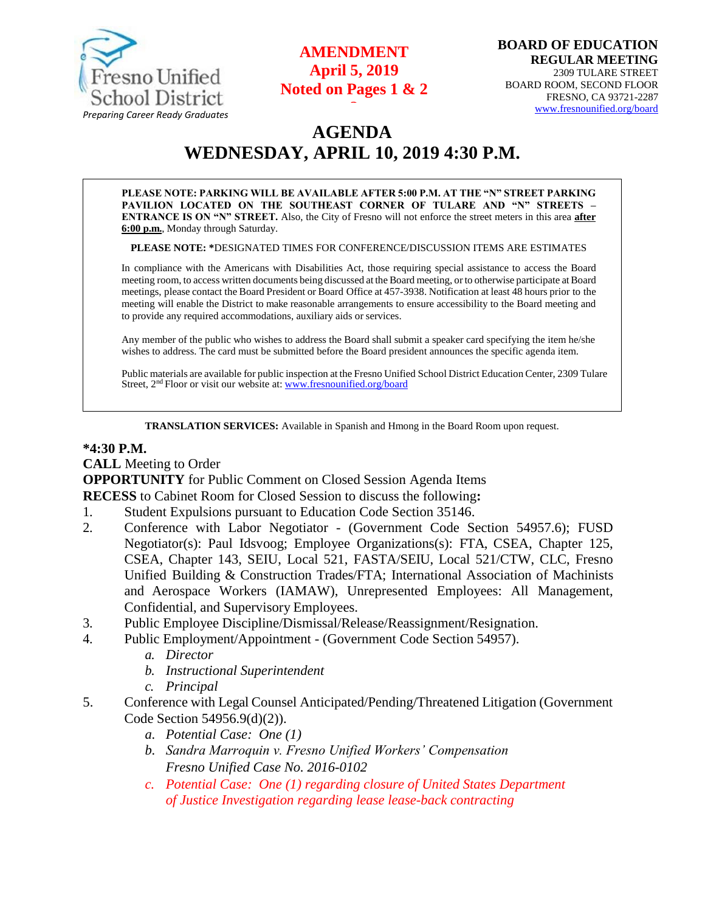

# **AMENDMENT April 5, 2019 Noted on Pages 1 & 2 2**

# **AGENDA WEDNESDAY, APRIL 10, 2019 4:30 P.M.**

**PLEASE NOTE: PARKING WILL BE AVAILABLE AFTER 5:00 P.M. AT THE "N" STREET PARKING PAVILION LOCATED ON THE SOUTHEAST CORNER OF TULARE AND "N" STREETS – ENTRANCE IS ON "N" STREET.** Also, the City of Fresno will not enforce the street meters in this area **after 6:00 p.m.**, Monday through Saturday.

**PLEASE NOTE: \***DESIGNATED TIMES FOR CONFERENCE/DISCUSSION ITEMS ARE ESTIMATES

In compliance with the Americans with Disabilities Act, those requiring special assistance to access the Board meeting room, to access written documents being discussed at the Board meeting, or to otherwise participate at Board meetings, please contact the Board President or Board Office at 457-3938. Notification at least 48 hours prior to the meeting will enable the District to make reasonable arrangements to ensure accessibility to the Board meeting and to provide any required accommodations, auxiliary aids or services.

Any member of the public who wishes to address the Board shall submit a speaker card specifying the item he/she wishes to address. The card must be submitted before the Board president announces the specific agenda item.

Public materials are available for public inspection at the Fresno Unified School District Education Center, 2309 Tulare Street, 2<sup>nd</sup> Floor or visit our website at: **[www.fresnounified.org/board](http://www.fresnounified.org/board)** 

**TRANSLATION SERVICES:** Available in Spanish and Hmong in the Board Room upon request.

#### **\*4:30 P.M.**

**CALL** Meeting to Order

**OPPORTUNITY** for Public Comment on Closed Session Agenda Items

**RECESS** to Cabinet Room for Closed Session to discuss the following**:**

- 1. Student Expulsions pursuant to Education Code Section 35146.
- 2. Conference with Labor Negotiator (Government Code Section 54957.6); FUSD Negotiator(s): Paul Idsvoog; Employee Organizations(s): FTA, CSEA, Chapter 125, CSEA, Chapter 143, SEIU, Local 521, FASTA/SEIU, Local 521/CTW, CLC, Fresno Unified Building & Construction Trades/FTA; International Association of Machinists and Aerospace Workers (IAMAW), Unrepresented Employees: All Management, Confidential, and Supervisory Employees.
- 3. Public Employee Discipline/Dismissal/Release/Reassignment/Resignation.
- 4. Public Employment/Appointment (Government Code Section 54957).
	- *a. Director*
	- *b. Instructional Superintendent*
	- *c. Principal*
- 5. Conference with Legal Counsel Anticipated/Pending/Threatened Litigation (Government Code Section 54956.9(d)(2)).
	- *a. Potential Case: One (1)*
	- *b. Sandra Marroquin v. Fresno Unified Workers' Compensation Fresno Unified Case No. 2016-0102*
	- *c. Potential Case: One (1) regarding closure of United States Department of Justice Investigation regarding lease lease-back contracting*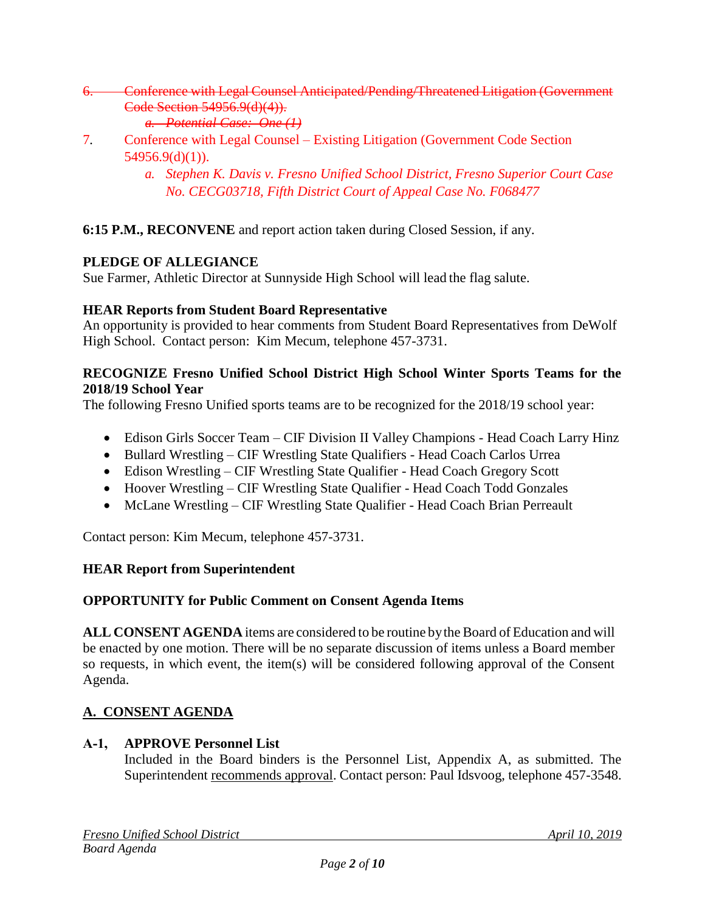- 6. Conference with Legal Counsel Anticipated/Pending/Threatened Litigation (Government Code Section 54956.9(d)(4)). *a. Potential Case: One (1)*
- 7*.* Conference with Legal Counsel Existing Litigation (Government Code Section  $54956.9(d)(1)$ ).
	- *a. Stephen K. Davis v. Fresno Unified School District, Fresno Superior Court Case No. CECG03718, Fifth District Court of Appeal Case No. F068477*

# **6:15 P.M., RECONVENE** and report action taken during Closed Session, if any.

# **PLEDGE OF ALLEGIANCE**

Sue Farmer, Athletic Director at Sunnyside High School will lead the flag salute.

# **HEAR Reports from Student Board Representative**

An opportunity is provided to hear comments from Student Board Representatives from DeWolf High School. Contact person: Kim Mecum, telephone 457-3731.

## **RECOGNIZE Fresno Unified School District High School Winter Sports Teams for the 2018/19 School Year**

The following Fresno Unified sports teams are to be recognized for the 2018/19 school year:

- Edison Girls Soccer Team CIF Division II Valley Champions Head Coach Larry Hinz
- Bullard Wrestling CIF Wrestling State Qualifiers Head Coach Carlos Urrea
- Edison Wrestling CIF Wrestling State Qualifier Head Coach Gregory Scott
- Hoover Wrestling CIF Wrestling State Qualifier Head Coach Todd Gonzales
- McLane Wrestling CIF Wrestling State Qualifier Head Coach Brian Perreault

Contact person: Kim Mecum, telephone 457-3731.

# **HEAR Report from Superintendent**

# **OPPORTUNITY for Public Comment on Consent Agenda Items**

**ALL CONSENT AGENDA** items are considered to be routine bythe Board of Education and will be enacted by one motion. There will be no separate discussion of items unless a Board member so requests, in which event, the item(s) will be considered following approval of the Consent Agenda.

# **A. CONSENT AGENDA**

# **A-1, APPROVE Personnel List**

Included in the Board binders is the Personnel List, Appendix A, as submitted. The Superintendent recommends approval. Contact person: Paul Idsvoog, telephone 457-3548.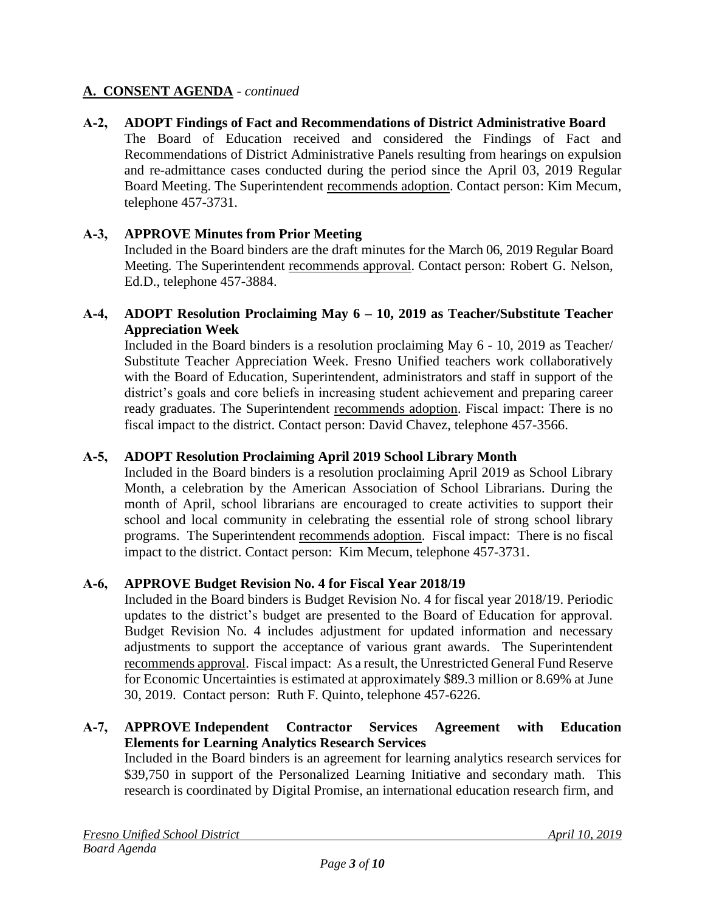**A-2, ADOPT Findings of Fact and Recommendations of District Administrative Board** The Board of Education received and considered the Findings of Fact and Recommendations of District Administrative Panels resulting from hearings on expulsion and re-admittance cases conducted during the period since the April 03, 2019 Regular Board Meeting. The Superintendent recommends adoption. Contact person: Kim Mecum, telephone 457-3731.

# **A-3, APPROVE Minutes from Prior Meeting**

Included in the Board binders are the draft minutes for the March 06, 2019 Regular Board Meeting. The Superintendent recommends approval. Contact person: Robert G. Nelson, Ed.D., telephone 457-3884.

#### **A-4, ADOPT Resolution Proclaiming May 6 – 10, 2019 as Teacher/Substitute Teacher Appreciation Week**

Included in the Board binders is a resolution proclaiming May 6 - 10, 2019 as Teacher/ Substitute Teacher Appreciation Week. Fresno Unified teachers work collaboratively with the Board of Education, Superintendent, administrators and staff in support of the district's goals and core beliefs in increasing student achievement and preparing career ready graduates. The Superintendent recommends adoption. Fiscal impact: There is no fiscal impact to the district. Contact person: David Chavez, telephone 457-3566.

## **A-5, ADOPT Resolution Proclaiming April 2019 School Library Month**

Included in the Board binders is a resolution proclaiming April 2019 as School Library Month, a celebration by the American Association of School Librarians. During the month of April, school librarians are encouraged to create activities to support their school and local community in celebrating the essential role of strong school library programs. The Superintendent recommends adoption. Fiscal impact: There is no fiscal impact to the district. Contact person: Kim Mecum, telephone 457-3731.

## **A-6, APPROVE Budget Revision No. 4 for Fiscal Year 2018/19**

Included in the Board binders is Budget Revision No. 4 for fiscal year 2018/19. Periodic updates to the district's budget are presented to the Board of Education for approval. Budget Revision No. 4 includes adjustment for updated information and necessary adjustments to support the acceptance of various grant awards. The Superintendent recommends approval. Fiscal impact: As a result, the Unrestricted General Fund Reserve for Economic Uncertainties is estimated at approximately \$89.3 million or 8.69% at June 30, 2019. Contact person: Ruth F. Quinto, telephone 457-6226.

## **A-7, APPROVE Independent Contractor Services Agreement with Education Elements for Learning Analytics Research Services**

Included in the Board binders is an agreement for learning analytics research services for \$39,750 in support of the Personalized Learning Initiative and secondary math. This research is coordinated by Digital Promise, an international education research firm, and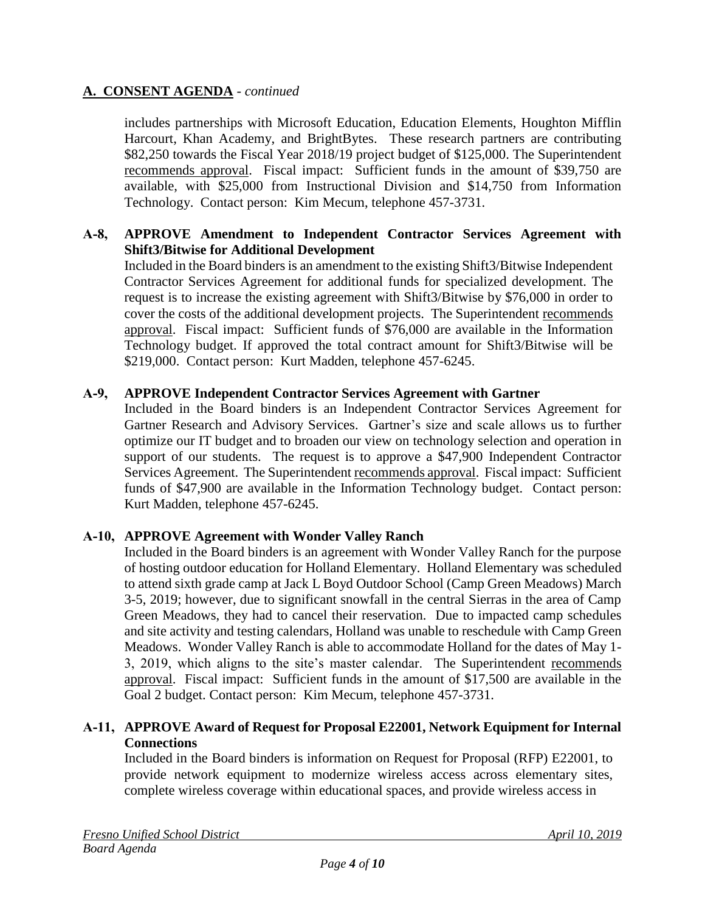includes partnerships with Microsoft Education, Education Elements, Houghton Mifflin Harcourt, Khan Academy, and BrightBytes. These research partners are contributing \$82,250 towards the Fiscal Year 2018/19 project budget of \$125,000. The Superintendent recommends approval. Fiscal impact: Sufficient funds in the amount of \$39,750 are available, with \$25,000 from Instructional Division and \$14,750 from Information Technology. Contact person: Kim Mecum, telephone 457-3731.

## **A-8, APPROVE Amendment to Independent Contractor Services Agreement with Shift3/Bitwise for Additional Development**

Included in the Board binders is an amendment to the existing Shift3/Bitwise Independent Contractor Services Agreement for additional funds for specialized development. The request is to increase the existing agreement with Shift3/Bitwise by \$76,000 in order to cover the costs of the additional development projects. The Superintendent recommends approval. Fiscal impact: Sufficient funds of \$76,000 are available in the Information Technology budget. If approved the total contract amount for Shift3/Bitwise will be \$219,000. Contact person: Kurt Madden, telephone 457-6245.

## **A-9, APPROVE Independent Contractor Services Agreement with Gartner**

Included in the Board binders is an Independent Contractor Services Agreement for Gartner Research and Advisory Services. Gartner's size and scale allows us to further optimize our IT budget and to broaden our view on technology selection and operation in support of our students. The request is to approve a \$47,900 Independent Contractor Services Agreement. The Superintendent recommends approval. Fiscal impact: Sufficient funds of \$47,900 are available in the Information Technology budget. Contact person: Kurt Madden, telephone 457-6245.

## **A-10, APPROVE Agreement with Wonder Valley Ranch**

Included in the Board binders is an agreement with Wonder Valley Ranch for the purpose of hosting outdoor education for Holland Elementary. Holland Elementary was scheduled to attend sixth grade camp at Jack L Boyd Outdoor School (Camp Green Meadows) March 3-5, 2019; however, due to significant snowfall in the central Sierras in the area of Camp Green Meadows, they had to cancel their reservation. Due to impacted camp schedules and site activity and testing calendars, Holland was unable to reschedule with Camp Green Meadows. Wonder Valley Ranch is able to accommodate Holland for the dates of May 1- 3, 2019, which aligns to the site's master calendar. The Superintendent recommends approval. Fiscal impact: Sufficient funds in the amount of \$17,500 are available in the Goal 2 budget. Contact person: Kim Mecum, telephone 457-3731.

# **A-11, APPROVE Award of Request for Proposal E22001, Network Equipment for Internal Connections**

Included in the Board binders is information on Request for Proposal (RFP) E22001, to provide network equipment to modernize wireless access across elementary sites, complete wireless coverage within educational spaces, and provide wireless access in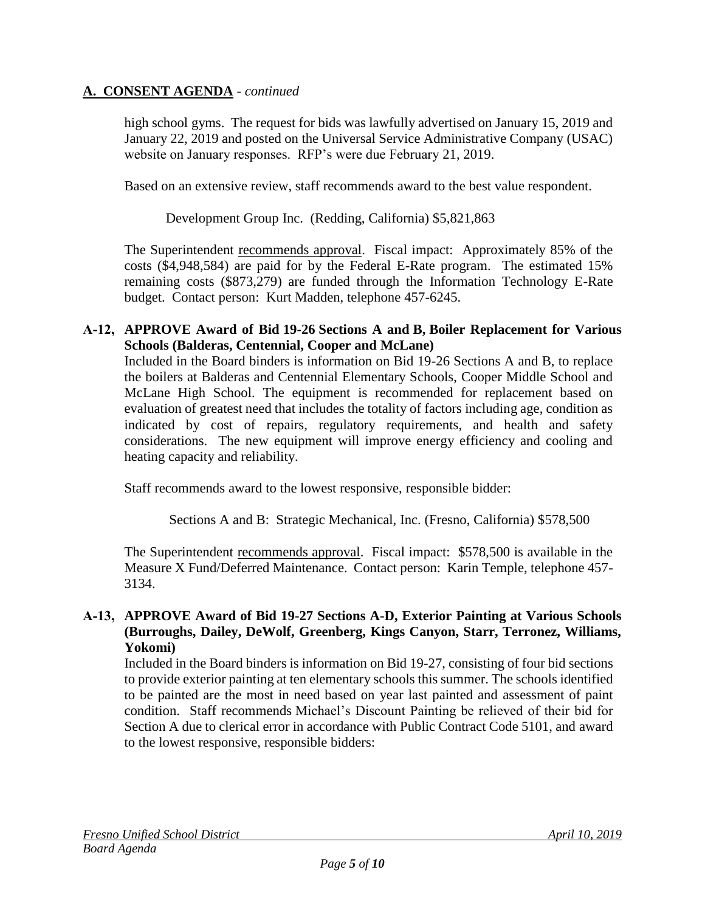high school gyms. The request for bids was lawfully advertised on January 15, 2019 and January 22, 2019 and posted on the Universal Service Administrative Company (USAC) website on January responses. RFP's were due February 21, 2019.

Based on an extensive review, staff recommends award to the best value respondent.

Development Group Inc. (Redding, California) \$5,821,863

The Superintendent recommends approval. Fiscal impact: Approximately 85% of the costs (\$4,948,584) are paid for by the Federal E-Rate program. The estimated 15% remaining costs (\$873,279) are funded through the Information Technology E-Rate budget. Contact person: Kurt Madden, telephone 457-6245.

#### **A-12, APPROVE Award of Bid 19-26 Sections A and B, Boiler Replacement for Various Schools (Balderas, Centennial, Cooper and McLane)**

Included in the Board binders is information on Bid 19-26 Sections A and B, to replace the boilers at Balderas and Centennial Elementary Schools, Cooper Middle School and McLane High School. The equipment is recommended for replacement based on evaluation of greatest need that includes the totality of factors including age, condition as indicated by cost of repairs, regulatory requirements, and health and safety considerations. The new equipment will improve energy efficiency and cooling and heating capacity and reliability.

Staff recommends award to the lowest responsive, responsible bidder:

Sections A and B: Strategic Mechanical, Inc. (Fresno, California) \$578,500

The Superintendent recommends approval. Fiscal impact: \$578,500 is available in the Measure X Fund/Deferred Maintenance. Contact person: Karin Temple, telephone 457- 3134.

#### **A-13, APPROVE Award of Bid 19-27 Sections A-D, Exterior Painting at Various Schools (Burroughs, Dailey, DeWolf, Greenberg, Kings Canyon, Starr, Terronez, Williams, Yokomi)**

Included in the Board binders is information on Bid 19-27, consisting of four bid sections to provide exterior painting at ten elementary schools this summer. The schools identified to be painted are the most in need based on year last painted and assessment of paint condition. Staff recommends Michael's Discount Painting be relieved of their bid for Section A due to clerical error in accordance with Public Contract Code 5101, and award to the lowest responsive, responsible bidders: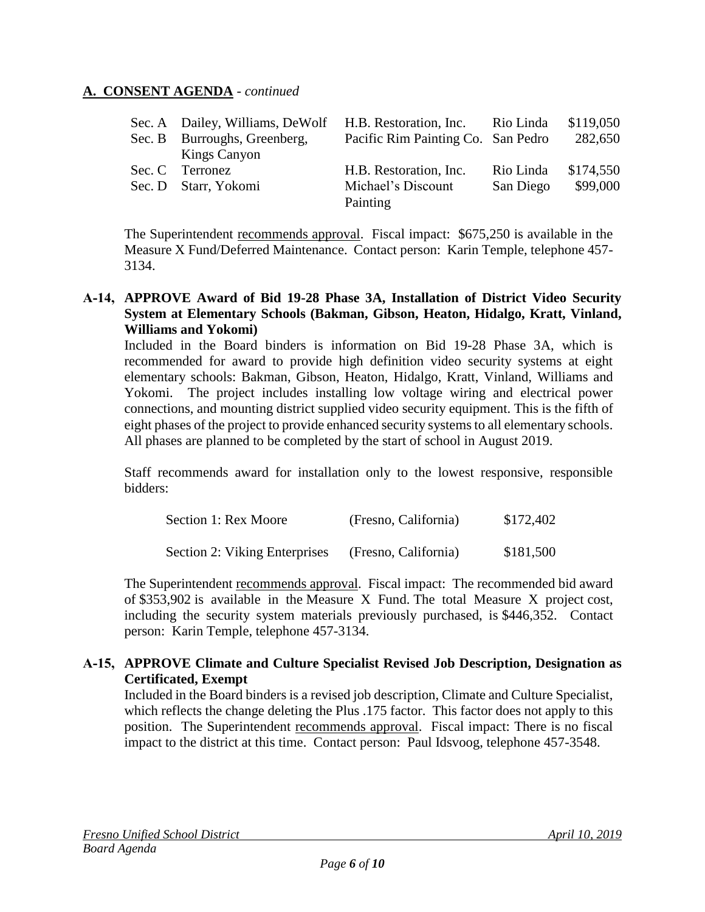| Sec. A Dailey, Williams, DeWolf | H.B. Restoration, Inc. Rio Linda   |           | \$119,050 |
|---------------------------------|------------------------------------|-----------|-----------|
| Sec. B Burroughs, Greenberg,    | Pacific Rim Painting Co. San Pedro |           | 282,650   |
| <b>Kings Canyon</b>             |                                    |           |           |
| Sec. C Terronez                 | H.B. Restoration, Inc.             | Rio Linda | \$174,550 |
| Sec. D Starr, Yokomi            | Michael's Discount                 | San Diego | \$99,000  |
|                                 | Painting                           |           |           |

The Superintendent recommends approval. Fiscal impact: \$675,250 is available in the Measure X Fund/Deferred Maintenance. Contact person: Karin Temple, telephone 457- 3134.

## **A-14, APPROVE Award of Bid 19-28 Phase 3A, Installation of District Video Security System at Elementary Schools (Bakman, Gibson, Heaton, Hidalgo, Kratt, Vinland, Williams and Yokomi)**

Included in the Board binders is information on Bid 19-28 Phase 3A, which is recommended for award to provide high definition video security systems at eight elementary schools: Bakman, Gibson, Heaton, Hidalgo, Kratt, Vinland, Williams and Yokomi. The project includes installing low voltage wiring and electrical power connections, and mounting district supplied video security equipment. This is the fifth of eight phases of the project to provide enhanced security systems to all elementary schools. All phases are planned to be completed by the start of school in August 2019.

Staff recommends award for installation only to the lowest responsive, responsible bidders:

| Section 1: Rex Moore          | (Fresno, California) | \$172,402 |
|-------------------------------|----------------------|-----------|
| Section 2: Viking Enterprises | (Fresno, California) | \$181,500 |

The Superintendent recommends approval. Fiscal impact: The recommended bid award of \$353,902 is available in the Measure X Fund. The total Measure X project cost, including the security system materials previously purchased, is \$446,352. Contact person: Karin Temple, telephone 457-3134.

# **A-15, APPROVE Climate and Culture Specialist Revised Job Description, Designation as Certificated, Exempt**

Included in the Board binders is a revised job description, Climate and Culture Specialist, which reflects the change deleting the Plus .175 factor. This factor does not apply to this position. The Superintendent recommends approval. Fiscal impact: There is no fiscal impact to the district at this time. Contact person: Paul Idsvoog, telephone 457-3548.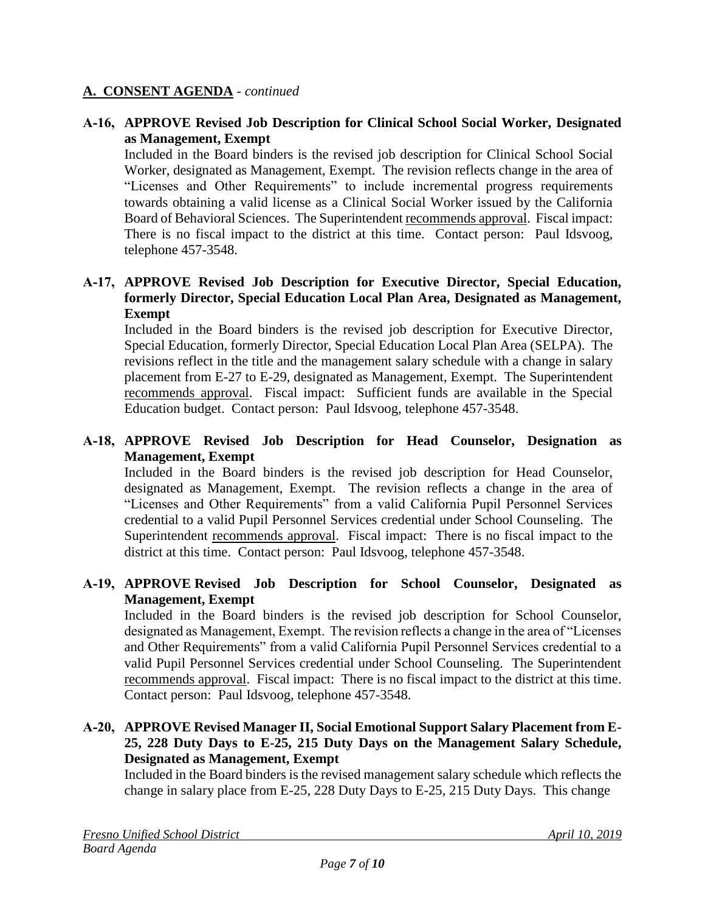# **A-16, APPROVE Revised Job Description for Clinical School Social Worker, Designated as Management, Exempt**

Included in the Board binders is the revised job description for Clinical School Social Worker, designated as Management, Exempt. The revision reflects change in the area of "Licenses and Other Requirements" to include incremental progress requirements towards obtaining a valid license as a Clinical Social Worker issued by the California Board of Behavioral Sciences. The Superintendent recommends approval. Fiscal impact: There is no fiscal impact to the district at this time. Contact person: Paul Idsvoog, telephone 457-3548.

## **A-17, APPROVE Revised Job Description for Executive Director, Special Education, formerly Director, Special Education Local Plan Area, Designated as Management, Exempt**

Included in the Board binders is the revised job description for Executive Director, Special Education, formerly Director, Special Education Local Plan Area (SELPA). The revisions reflect in the title and the management salary schedule with a change in salary placement from E-27 to E-29, designated as Management, Exempt. The Superintendent recommends approval. Fiscal impact: Sufficient funds are available in the Special Education budget. Contact person: Paul Idsvoog, telephone 457-3548.

# **A-18, APPROVE Revised Job Description for Head Counselor, Designation as Management, Exempt**

Included in the Board binders is the revised job description for Head Counselor, designated as Management, Exempt. The revision reflects a change in the area of "Licenses and Other Requirements" from a valid California Pupil Personnel Services credential to a valid Pupil Personnel Services credential under School Counseling. The Superintendent recommends approval. Fiscal impact: There is no fiscal impact to the district at this time. Contact person: Paul Idsvoog, telephone 457-3548.

## **A-19, APPROVE Revised Job Description for School Counselor, Designated as Management, Exempt**

Included in the Board binders is the revised job description for School Counselor, designated as Management, Exempt. The revision reflects a change in the area of "Licenses and Other Requirements" from a valid California Pupil Personnel Services credential to a valid Pupil Personnel Services credential under School Counseling. The Superintendent recommends approval. Fiscal impact: There is no fiscal impact to the district at this time. Contact person: Paul Idsvoog, telephone 457-3548.

# **A-20, APPROVE Revised Manager II, Social Emotional Support Salary Placement from E-25, 228 Duty Days to E-25, 215 Duty Days on the Management Salary Schedule, Designated as Management, Exempt**

Included in the Board binders is the revised management salary schedule which reflects the change in salary place from E-25, 228 Duty Days to E-25, 215 Duty Days. This change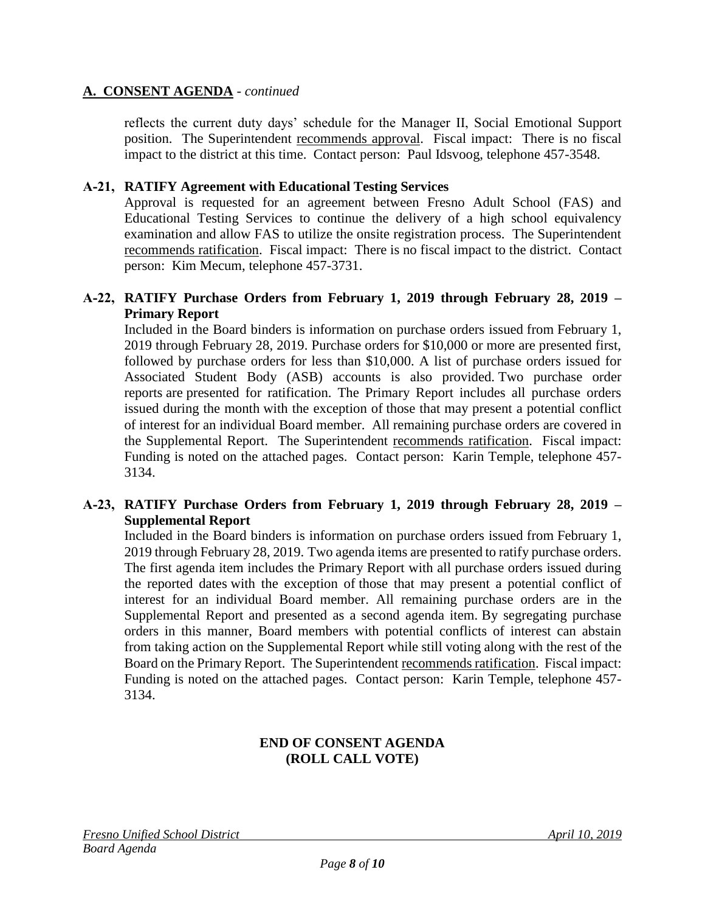reflects the current duty days' schedule for the Manager II, Social Emotional Support position. The Superintendent recommends approval. Fiscal impact: There is no fiscal impact to the district at this time. Contact person: Paul Idsvoog, telephone 457-3548.

## **A-21, RATIFY Agreement with Educational Testing Services**

Approval is requested for an agreement between Fresno Adult School (FAS) and Educational Testing Services to continue the delivery of a high school equivalency examination and allow FAS to utilize the onsite registration process. The Superintendent recommends ratification. Fiscal impact: There is no fiscal impact to the district. Contact person: Kim Mecum, telephone 457-3731.

#### **A-22, RATIFY Purchase Orders from February 1, 2019 through February 28, 2019 – Primary Report**

Included in the Board binders is information on purchase orders issued from February 1, 2019 through February 28, 2019. Purchase orders for \$10,000 or more are presented first, followed by purchase orders for less than \$10,000. A list of purchase orders issued for Associated Student Body (ASB) accounts is also provided. Two purchase order reports are presented for ratification. The Primary Report includes all purchase orders issued during the month with the exception of those that may present a potential conflict of interest for an individual Board member. All remaining purchase orders are covered in the Supplemental Report. The Superintendent recommends ratification. Fiscal impact: Funding is noted on the attached pages. Contact person: Karin Temple, telephone 457- 3134.

## **A-23, RATIFY Purchase Orders from February 1, 2019 through February 28, 2019 – Supplemental Report**

Included in the Board binders is information on purchase orders issued from February 1, 2019 through February 28, 2019. Two agenda items are presented to ratify purchase orders. The first agenda item includes the Primary Report with all purchase orders issued during the reported dates with the exception of those that may present a potential conflict of interest for an individual Board member. All remaining purchase orders are in the Supplemental Report and presented as a second agenda item. By segregating purchase orders in this manner, Board members with potential conflicts of interest can abstain from taking action on the Supplemental Report while still voting along with the rest of the Board on the Primary Report. The Superintendent recommends ratification. Fiscal impact: Funding is noted on the attached pages. Contact person: Karin Temple, telephone 457- 3134.

# **END OF CONSENT AGENDA (ROLL CALL VOTE)**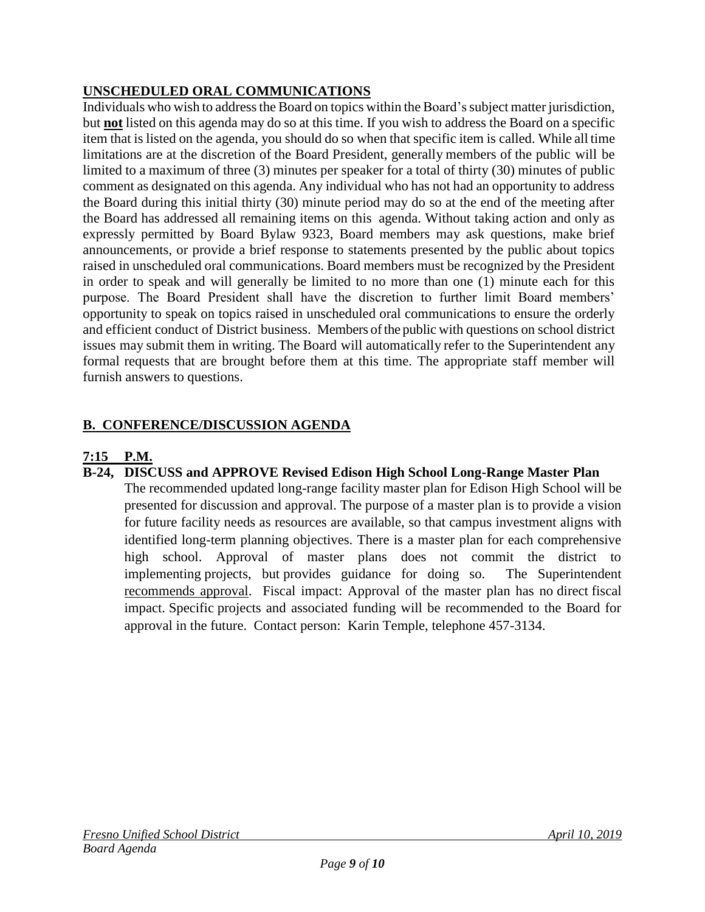# **UNSCHEDULED ORAL COMMUNICATIONS**

Individuals who wish to address the Board on topics within the Board's subject matter jurisdiction, but **not** listed on this agenda may do so at this time. If you wish to address the Board on a specific item that is listed on the agenda, you should do so when that specific item is called. While all time limitations are at the discretion of the Board President, generally members of the public will be limited to a maximum of three (3) minutes per speaker for a total of thirty (30) minutes of public comment as designated on this agenda. Any individual who has not had an opportunity to address the Board during this initial thirty (30) minute period may do so at the end of the meeting after the Board has addressed all remaining items on this agenda. Without taking action and only as expressly permitted by Board Bylaw 9323, Board members may ask questions, make brief announcements, or provide a brief response to statements presented by the public about topics raised in unscheduled oral communications. Board members must be recognized by the President in order to speak and will generally be limited to no more than one (1) minute each for this purpose. The Board President shall have the discretion to further limit Board members' opportunity to speak on topics raised in unscheduled oral communications to ensure the orderly and efficient conduct of District business. Members of the public with questions on school district issues may submit them in writing. The Board will automatically refer to the Superintendent any formal requests that are brought before them at this time. The appropriate staff member will furnish answers to questions.

# **B. CONFERENCE/DISCUSSION AGENDA**

# **7:15 P.M.**

# **B-24, DISCUSS and APPROVE Revised Edison High School Long-Range Master Plan**

The recommended updated long-range facility master plan for Edison High School will be presented for discussion and approval. The purpose of a master plan is to provide a vision for future facility needs as resources are available, so that campus investment aligns with identified long-term planning objectives. There is a master plan for each comprehensive high school. Approval of master plans does not commit the district to implementing projects, but provides guidance for doing so. The Superintendent recommends approval. Fiscal impact: Approval of the master plan has no direct fiscal impact. Specific projects and associated funding will be recommended to the Board for approval in the future. Contact person: Karin Temple, telephone 457-3134.